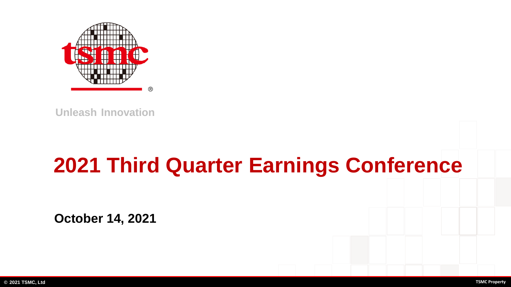

**Unleash Innovation**

# **2021 Third Quarter Earnings Conference**

**October 14, 2021**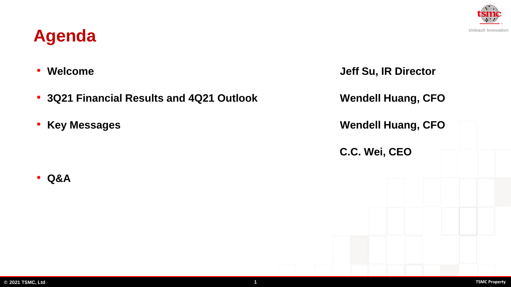#### **© 2021 TSMC, Ltd 1 TSMC Property**

# **Agenda**

• **Q&A**

- **3Q21 Financial Results and 4Q21 Outlook Wendell Huang, CFO**
- 

• **Welcome Jeff Su, IR Director** • **Key Messages Wendell Huang, CFO C.C. Wei, CEO**

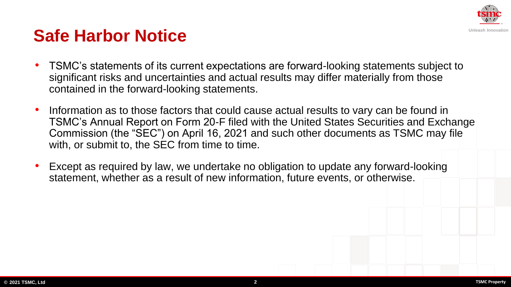

### **Safe Harbor Notice**

- TSMC's statements of its current expectations are forward-looking statements subject to significant risks and uncertainties and actual results may differ materially from those contained in the forward-looking statements.
- Information as to those factors that could cause actual results to vary can be found in TSMC's Annual Report on Form 20-F filed with the United States Securities and Exchange Commission (the "SEC") on April 16, 2021 and such other documents as TSMC may file with, or submit to, the SEC from time to time.
- Except as required by law, we undertake no obligation to update any forward-looking statement, whether as a result of new information, future events, or otherwise.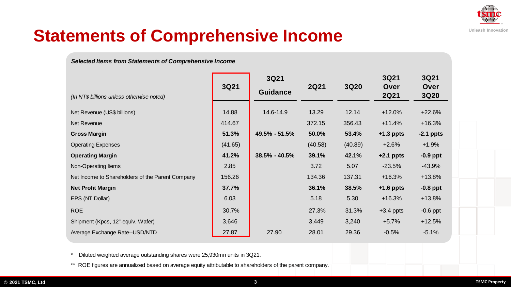

# **Statements of Comprehensive Income**

#### *Selected Items from Statements of Comprehensive Income*

|                                                  |         | 3Q21              |             |         | 3Q21                | 3Q21                |
|--------------------------------------------------|---------|-------------------|-------------|---------|---------------------|---------------------|
| (In NT\$ billions unless otherwise noted)        | 3Q21    | <b>Guidance</b>   | <b>2Q21</b> | 3Q20    | Over<br><b>2Q21</b> | Over<br><b>3Q20</b> |
| Net Revenue (US\$ billions)                      | 14.88   | 14.6-14.9         | 13.29       | 12.14   | $+12.0%$            | $+22.6%$            |
| Net Revenue                                      | 414.67  |                   | 372.15      | 356.43  | $+11.4%$            | $+16.3%$            |
| <b>Gross Margin</b>                              | 51.3%   | 49.5% - 51.5%     | 50.0%       | 53.4%   | $+1.3$ ppts         | $-2.1$ ppts         |
| <b>Operating Expenses</b>                        | (41.65) |                   | (40.58)     | (40.89) | $+2.6%$             | $+1.9%$             |
| <b>Operating Margin</b>                          | 41.2%   | $38.5\% - 40.5\%$ | 39.1%       | 42.1%   | $+2.1$ ppts         | $-0.9$ ppt          |
| Non-Operating Items                              | 2.85    |                   | 3.72        | 5.07    | $-23.5%$            | $-43.9%$            |
| Net Income to Shareholders of the Parent Company | 156.26  |                   | 134.36      | 137.31  | $+16.3%$            | $+13.8%$            |
| <b>Net Profit Margin</b>                         | 37.7%   |                   | 36.1%       | 38.5%   | $+1.6$ ppts         | $-0.8$ ppt          |
| EPS (NT Dollar)                                  | 6.03    |                   | 5.18        | 5.30    | $+16.3%$            | $+13.8%$            |
| <b>ROE</b>                                       | 30.7%   |                   | 27.3%       | 31.3%   | $+3.4$ ppts         | $-0.6$ ppt          |
| Shipment (Kpcs, 12"-equiv. Wafer)                | 3,646   |                   | 3,449       | 3,240   | $+5.7%$             | $+12.5%$            |
| Average Exchange Rate--USD/NTD                   | 27.87   | 27.90             | 28.01       | 29.36   | $-0.5%$             | $-5.1%$             |

\* Diluted weighted average outstanding shares were 25,930mn units in 3Q21.

\*\* ROE figures are annualized based on average equity attributable to shareholders of the parent company.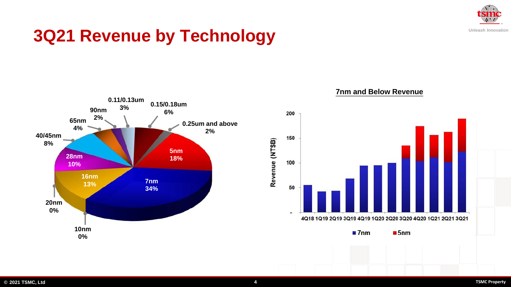

# **3Q21 Revenue by Technology**



#### **7nm and Below Revenue**

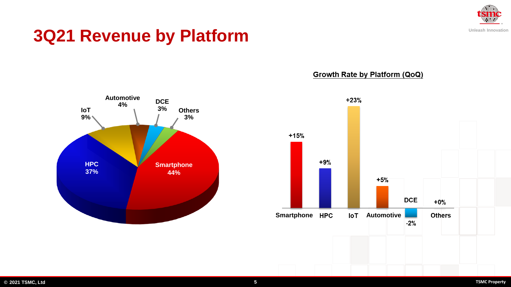

### **3Q21 Revenue by Platform**



Growth Rate by Platform (QoQ)

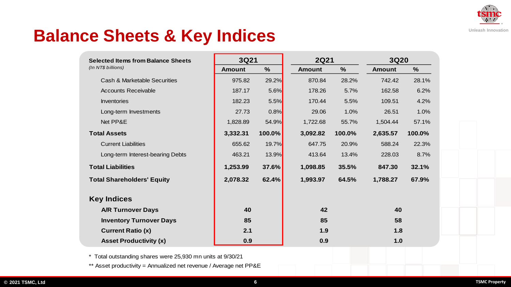

### **Balance Sheets & Key Indices**

| <b>Selected Items from Balance Sheets</b> | 3Q21          |               | <b>2Q21</b>   |               | 3Q20          |               |
|-------------------------------------------|---------------|---------------|---------------|---------------|---------------|---------------|
| (In NT\$ billions)                        | <b>Amount</b> | $\frac{1}{2}$ | <b>Amount</b> | $\frac{1}{2}$ | <b>Amount</b> | $\frac{9}{6}$ |
| <b>Cash &amp; Marketable Securities</b>   | 975.82        | 29.2%         | 870.84        | 28.2%         | 742.42        | 28.1%         |
| <b>Accounts Receivable</b>                | 187.17        | $5.6\%$       | 178.26        | 5.7%          | 162.58        | 6.2%          |
| <b>Inventories</b>                        | 182.23        | 5.5%          | 170.44        | 5.5%          | 109.51        | 4.2%          |
| Long-term Investments                     | 27.73         | 0.8%          | 29.06         | 1.0%          | 26.51         | 1.0%          |
| Net PP&E                                  | 1,828.89      | 54.9%         | 1,722.68      | 55.7%         | 1,504.44      | 57.1%         |
| <b>Total Assets</b>                       | 3,332.31      | 100.0%        | 3,092.82      | 100.0%        | 2,635.57      | 100.0%        |
| <b>Current Liabilities</b>                | 655.62        | 19.7%         | 647.75        | 20.9%         | 588.24        | 22.3%         |
| Long-term Interest-bearing Debts          | 463.21        | 13.9%         | 413.64        | 13.4%         | 228.03        | 8.7%          |
| <b>Total Liabilities</b>                  | 1,253.99      | 37.6%         | 1,098.85      | 35.5%         | 847.30        | 32.1%         |
| <b>Total Shareholders' Equity</b>         | 2,078.32      | 62.4%         | 1,993.97      | 64.5%         | 1,788.27      | 67.9%         |
| <b>Key Indices</b>                        |               |               |               |               |               |               |
| <b>A/R Turnover Days</b>                  | 40            |               | 42            |               | 40            |               |
| <b>Inventory Turnover Days</b>            | 85            |               | 85            |               | 58            |               |
| <b>Current Ratio (x)</b>                  | 2.1           |               | 1.9           |               | 1.8           |               |
| <b>Asset Productivity (x)</b>             | 0.9           |               | 0.9           |               | 1.0           |               |

\* Total outstanding shares were 25,930 mn units at 9/30/21

\*\* Asset productivity = Annualized net revenue / Average net PP&E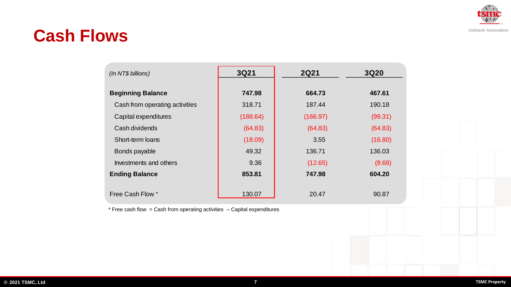

### **Cash Flows**

| $(ln NTS$ billions)            | 3Q21     | <b>2Q21</b> | <b>3Q20</b> |  |
|--------------------------------|----------|-------------|-------------|--|
| <b>Beginning Balance</b>       | 747.98   | 664.73      | 467.61      |  |
| Cash from operating activities | 318.71   | 187.44      | 190.18      |  |
| Capital expenditures           | (188.64) | (166.97)    | (99.31)     |  |
| Cash dividends                 | (64.83)  | (64.83)     | (64.83)     |  |
| Short-term loans               | (18.09)  | 3.55        | (16.80)     |  |
| Bonds payable                  | 49.32    | 136.71      | 136.03      |  |
| Investments and others         | 9.36     | (12.65)     | (8.68)      |  |
| <b>Ending Balance</b>          | 853.81   | 747.98      | 604.20      |  |
| Free Cash Flow *               | 130.07   | 20.47       | 90.87       |  |

 $*$  Free cash flow = Cash from operating activities  $-$  Capital expenditures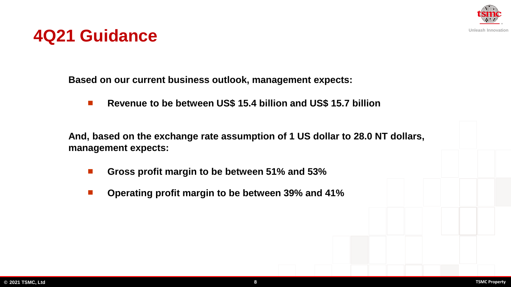

### **4Q21 Guidance**

**Based on our current business outlook, management expects:**

◼ **Revenue to be between US\$ 15.4 billion and US\$ 15.7 billion**

**And, based on the exchange rate assumption of 1 US dollar to 28.0 NT dollars, management expects:**

- ◼ **Gross profit margin to be between 51% and 53%**
- ◼ **Operating profit margin to be between 39% and 41%**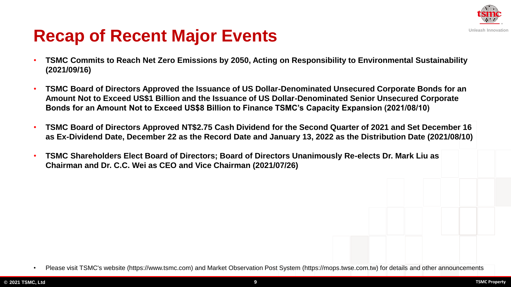

# **Recap of Recent Major Events**

- **TSMC Commits to Reach Net Zero Emissions by 2050, Acting on Responsibility to Environmental Sustainability (2021/09/16)**
- **TSMC Board of Directors Approved the Issuance of US Dollar-Denominated Unsecured Corporate Bonds for an Amount Not to Exceed US\$1 Billion and the Issuance of US Dollar-Denominated Senior Unsecured Corporate Bonds for an Amount Not to Exceed US\$8 Billion to Finance TSMC's Capacity Expansion (2021/08/10)**
- **TSMC Board of Directors Approved NT\$2.75 Cash Dividend for the Second Quarter of 2021 and Set December 16 as Ex-Dividend Date, December 22 as the Record Date and January 13, 2022 as the Distribution Date (2021/08/10)**
- **TSMC Shareholders Elect Board of Directors; Board of Directors Unanimously Re-elects Dr. Mark Liu as Chairman and Dr. C.C. Wei as CEO and Vice Chairman (2021/07/26)**

<sup>•</sup> Please visit TSMC's website (https://www.tsmc.com) and Market Observation Post System (https://mops.twse.com.tw) for details and other announcements